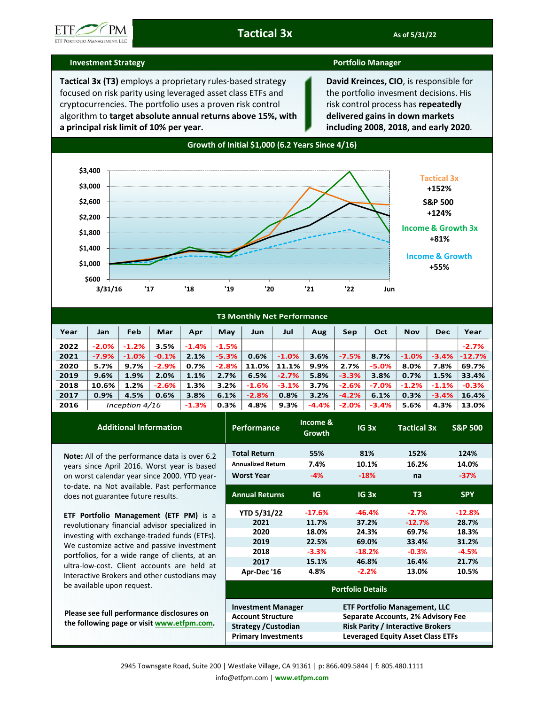

## **Investment Strategy Portfolio Manager**

**Tactical 3x (T3)** employs a proprietary rules-based strategy focused on risk parity using leveraged asset class ETFs and cryptocurrencies. The portfolio uses a proven risk control algorithm to **target absolute annual returns above 15%, with a principal risk limit of 10% per year.** 

**David Kreinces, CIO**, is responsible for the portfolio invesment decisions. His risk control process has **repeatedly delivered gains in down markets including 2008, 2018, and early 2020**.



| <b>T3 Monthly Net Performance</b> |                  |         |         |          |                           |         |         |         |          |          |            |            |          |
|-----------------------------------|------------------|---------|---------|----------|---------------------------|---------|---------|---------|----------|----------|------------|------------|----------|
| Year                              | Jan              | Feb     | Mar     | Apr      | May                       | Jun     | Jul     | Aug     | Sep      | Oct      | <b>Nov</b> | <b>Dec</b> | Year     |
| 2022                              | $-2.0%$          | $-1.2%$ | 3.5%    | $-1.4\%$ | $-1.5%$                   |         |         |         |          |          |            |            | $-2.7%$  |
| 2021                              | $-7.9%$          | $-1.0%$ | $-0.1%$ | 2.1%     | $-5.3%$                   | 0.6%    | $-1.0%$ | 3.6%    | $-7.5%$  | 8.7%     | $-1.0%$    | $-3.4%$    | $-12.7%$ |
| 2020                              | 5.7%             | $9.7\%$ | $-2.9%$ | 0.7%     | $-2.8%$                   | 11.0%   | 11.1%   | 9.9%    | 2.7%     | $-5.0\%$ | 8.0%       | 7.8%       | 69.7%    |
| 2019                              | 9.6%             | 1.9%    | 2.0%    | 1.1%     | 2.7%                      | 6.5%    | $-2.7%$ | 5.8%    | $-3.3%$  | 3.8%     | 0.7%       | 1.5%       | 33.4%    |
| 2018                              | 10.6%            | 1.2%    | $-2.6%$ | 1.3%     | 3.2%                      | $-1.6%$ | $-3.1%$ | 3.7%    | $-2.6%$  | $-7.0\%$ | $-1.2%$    | $-1.1%$    | $-0.3%$  |
| 2017                              | 0.9%             | 4.5%    | 0.6%    | 3.8%     | 6.1%                      | $-2.8%$ | 0.8%    | 3.2%    | $-4.2%$  | 6.1%     | 0.3%       | $-3.4%$    | 16.4%    |
| 2016                              | Inception $4/16$ |         |         | $-1.3%$  | 0.3%<br><b>The Common</b> | 4.8%    | 9.3%    | $-4.4%$ | $-2.0\%$ | $-3.4%$  | 5.6%       | 4.3%       | 13.0%    |

| <b>Additional Information</b>                                                     | <b>Performance</b>          | Income &<br>Growth | IG <sub>3x</sub>                         | <b>Tactical 3x</b> | <b>S&amp;P 500</b> |  |  |  |
|-----------------------------------------------------------------------------------|-----------------------------|--------------------|------------------------------------------|--------------------|--------------------|--|--|--|
| <b>Note:</b> All of the performance data is over 6.2                              | <b>Total Return</b>         | 55%                | 81%                                      | 152%               | 124%               |  |  |  |
| years since April 2016. Worst year is based                                       | <b>Annualized Return</b>    | 7.4%               | 10.1%                                    | 16.2%              | 14.0%              |  |  |  |
| on worst calendar year since 2000. YTD year-                                      | <b>Worst Year</b>           | $-4%$              | $-18%$                                   | na                 | $-37%$             |  |  |  |
| to-date. na Not available. Past performance<br>does not guarantee future results. | <b>Annual Returns</b>       | <b>IG</b>          | IG <sub>3x</sub>                         | T <sub>3</sub>     | <b>SPY</b>         |  |  |  |
| ETF Portfolio Management (ETF PM) is a                                            | <b>YTD 5/31/22</b>          | $-17.6%$           | $-46.4%$                                 | $-2.7%$            | $-12.8%$           |  |  |  |
| revolutionary financial advisor specialized in                                    | 2021                        | 11.7%              | 37.2%                                    | $-12.7%$           | 28.7%              |  |  |  |
| investing with exchange-traded funds (ETFs).                                      | 2020                        | 18.0%              | 24.3%                                    | 69.7%              | 18.3%              |  |  |  |
| We customize active and passive investment                                        | 2019                        | 22.5%              | 69.0%                                    | 33.4%              | 31.2%              |  |  |  |
| portfolios, for a wide range of clients, at an                                    | 2018                        | $-3.3%$            | $-18.2%$                                 | $-0.3%$            | $-4.5%$            |  |  |  |
| ultra-low-cost. Client accounts are held at                                       | 2017                        | 15.1%              | 46.8%                                    | 16.4%              | 21.7%              |  |  |  |
| Interactive Brokers and other custodians may                                      | Apr-Dec '16                 | 4.8%               | $-2.2%$                                  | 13.0%              | 10.5%              |  |  |  |
| be available upon request.                                                        | <b>Portfolio Details</b>    |                    |                                          |                    |                    |  |  |  |
|                                                                                   | <b>Investment Manager</b>   |                    | <b>ETF Portfolio Management, LLC</b>     |                    |                    |  |  |  |
| Please see full performance disclosures on                                        | <b>Account Structure</b>    |                    | Separate Accounts, 2% Advisory Fee       |                    |                    |  |  |  |
| the following page or visit www.etfpm.com.                                        | <b>Strategy / Custodian</b> |                    | <b>Risk Parity / Interactive Brokers</b> |                    |                    |  |  |  |
|                                                                                   | <b>Primary Investments</b>  |                    | <b>Leveraged Equity Asset Class ETFs</b> |                    |                    |  |  |  |